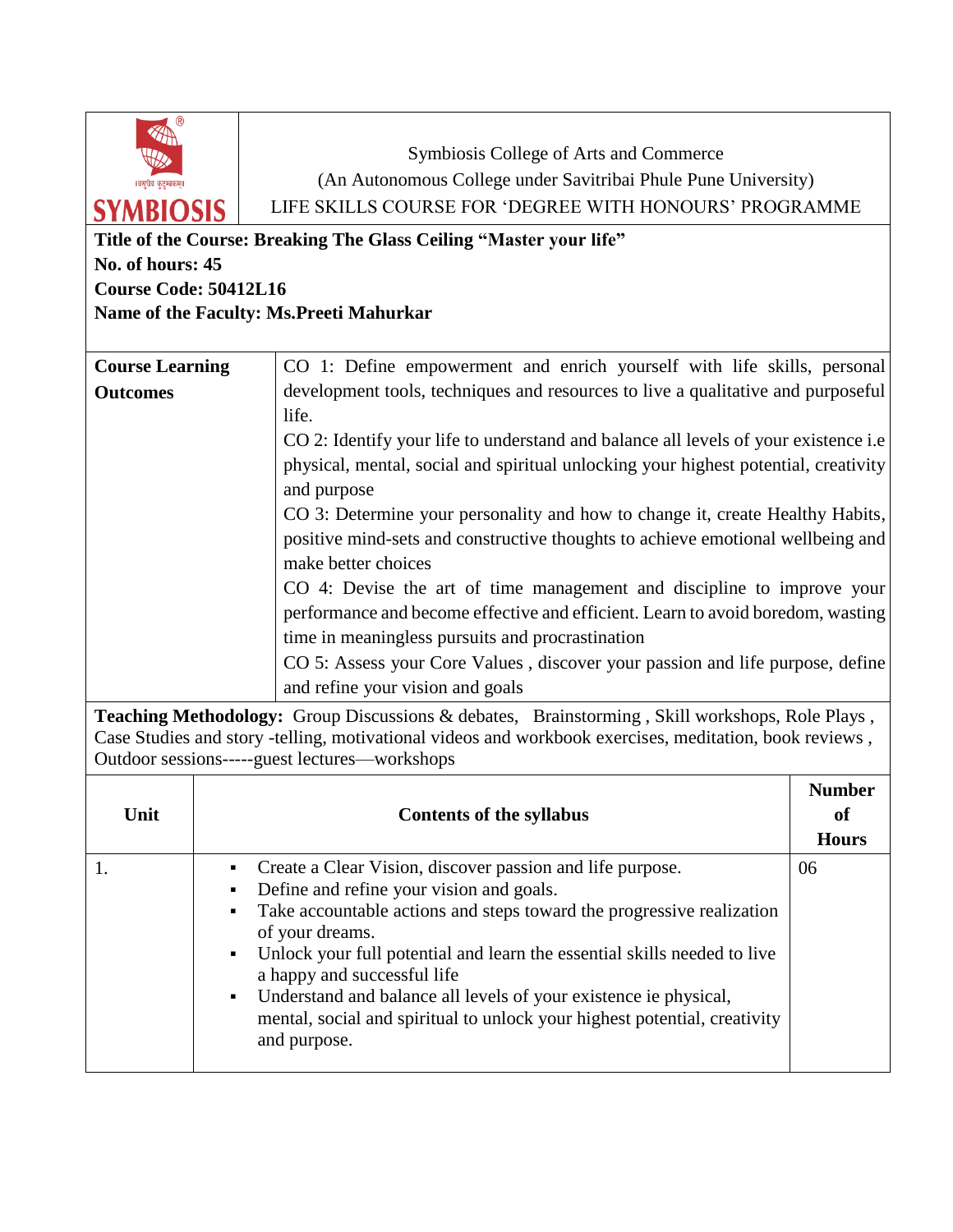| ॥वस्धैव कुट्म्बकम्॥<br><b>SYMBIOSIS</b><br>No. of hours: 45<br><b>Course Code: 50412L16</b>                                                             | Symbiosis College of Arts and Commerce<br>(An Autonomous College under Savitribai Phule Pune University)<br>LIFE SKILLS COURSE FOR 'DEGREE WITH HONOURS' PROGRAMME<br>Title of the Course: Breaking The Glass Ceiling "Master your life"<br>Name of the Faculty: Ms. Preeti Mahurkar                                                                                                                                                                                                                                                                                                                                                                                                                                                                                                                                                                                                                                       |  |  |  |  |
|---------------------------------------------------------------------------------------------------------------------------------------------------------|----------------------------------------------------------------------------------------------------------------------------------------------------------------------------------------------------------------------------------------------------------------------------------------------------------------------------------------------------------------------------------------------------------------------------------------------------------------------------------------------------------------------------------------------------------------------------------------------------------------------------------------------------------------------------------------------------------------------------------------------------------------------------------------------------------------------------------------------------------------------------------------------------------------------------|--|--|--|--|
| <b>Course Learning</b>                                                                                                                                  | CO 1: Define empowerment and enrich yourself with life skills, personal                                                                                                                                                                                                                                                                                                                                                                                                                                                                                                                                                                                                                                                                                                                                                                                                                                                    |  |  |  |  |
| <b>Outcomes</b>                                                                                                                                         | development tools, techniques and resources to live a qualitative and purposeful<br>life.<br>CO 2: Identify your life to understand and balance all levels of your existence i.e.<br>physical, mental, social and spiritual unlocking your highest potential, creativity<br>and purpose<br>CO 3: Determine your personality and how to change it, create Healthy Habits,<br>positive mind-sets and constructive thoughts to achieve emotional wellbeing and<br>make better choices<br>CO 4: Devise the art of time management and discipline to improve your<br>performance and become effective and efficient. Learn to avoid boredom, wasting<br>time in meaningless pursuits and procrastination<br>CO 5: Assess your Core Values, discover your passion and life purpose, define<br>and refine your vision and goals<br>Teaching Methodology: Group Discussions & debates, Brainstorming, Skill workshops, Role Plays, |  |  |  |  |
| Case Studies and story -telling, motivational videos and workbook exercises, meditation, book reviews,<br>Outdoor sessions-----guest lectures-workshops |                                                                                                                                                                                                                                                                                                                                                                                                                                                                                                                                                                                                                                                                                                                                                                                                                                                                                                                            |  |  |  |  |
|                                                                                                                                                         |                                                                                                                                                                                                                                                                                                                                                                                                                                                                                                                                                                                                                                                                                                                                                                                                                                                                                                                            |  |  |  |  |

| Unit | <b>Contents of the syllabus</b>                                                                                                                                                                                                                                                                                                                                                                                                                                                                                            | <b>Number</b><br>оf<br><b>Hours</b> |
|------|----------------------------------------------------------------------------------------------------------------------------------------------------------------------------------------------------------------------------------------------------------------------------------------------------------------------------------------------------------------------------------------------------------------------------------------------------------------------------------------------------------------------------|-------------------------------------|
|      | Create a Clear Vision, discover passion and life purpose.<br>$\blacksquare$<br>Define and refine your vision and goals.<br>٠<br>• Take accountable actions and steps toward the progressive realization<br>of your dreams.<br>• Unlock your full potential and learn the essential skills needed to live<br>a happy and successful life<br>Understand and balance all levels of your existence ie physical,<br>$\blacksquare$<br>mental, social and spiritual to unlock your highest potential, creativity<br>and purpose. | 06                                  |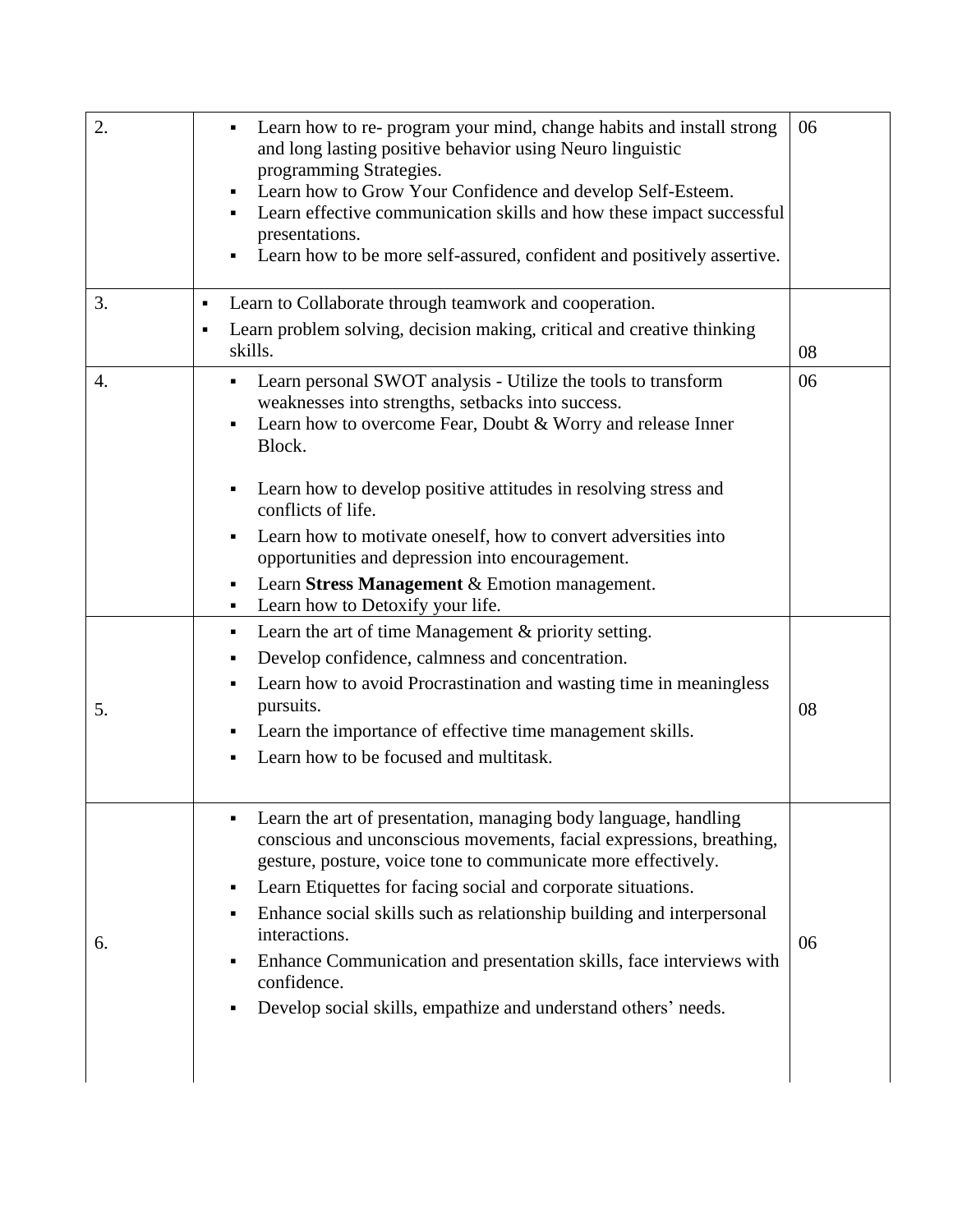| 2. | Learn how to re- program your mind, change habits and install strong<br>٠<br>and long lasting positive behavior using Neuro linguistic<br>programming Strategies.<br>Learn how to Grow Your Confidence and develop Self-Esteem.<br>Learn effective communication skills and how these impact successful<br>presentations.<br>Learn how to be more self-assured, confident and positively assertive.                                                                                                                                           | 06 |
|----|-----------------------------------------------------------------------------------------------------------------------------------------------------------------------------------------------------------------------------------------------------------------------------------------------------------------------------------------------------------------------------------------------------------------------------------------------------------------------------------------------------------------------------------------------|----|
| 3. | Learn to Collaborate through teamwork and cooperation.<br>٠                                                                                                                                                                                                                                                                                                                                                                                                                                                                                   |    |
|    | Learn problem solving, decision making, critical and creative thinking<br>٠<br>skills.                                                                                                                                                                                                                                                                                                                                                                                                                                                        | 08 |
| 4. | Learn personal SWOT analysis - Utilize the tools to transform<br>weaknesses into strengths, setbacks into success.<br>Learn how to overcome Fear, Doubt & Worry and release Inner<br>٠<br>Block.<br>Learn how to develop positive attitudes in resolving stress and<br>٠<br>conflicts of life.<br>Learn how to motivate oneself, how to convert adversities into<br>٠<br>opportunities and depression into encouragement.<br>Learn Stress Management & Emotion management.<br>٠<br>Learn how to Detoxify your life.                           | 06 |
| 5. | Learn the art of time Management & priority setting.<br>٠<br>Develop confidence, calmness and concentration.<br>٠<br>Learn how to avoid Procrastination and wasting time in meaningless<br>pursuits.<br>Learn the importance of effective time management skills.<br>٠<br>Learn how to be focused and multitask.                                                                                                                                                                                                                              | 08 |
| 6. | Learn the art of presentation, managing body language, handling<br>٠<br>conscious and unconscious movements, facial expressions, breathing,<br>gesture, posture, voice tone to communicate more effectively.<br>Learn Etiquettes for facing social and corporate situations.<br>٠<br>Enhance social skills such as relationship building and interpersonal<br>٠<br>interactions.<br>Enhance Communication and presentation skills, face interviews with<br>٠<br>confidence.<br>Develop social skills, empathize and understand others' needs. | 06 |